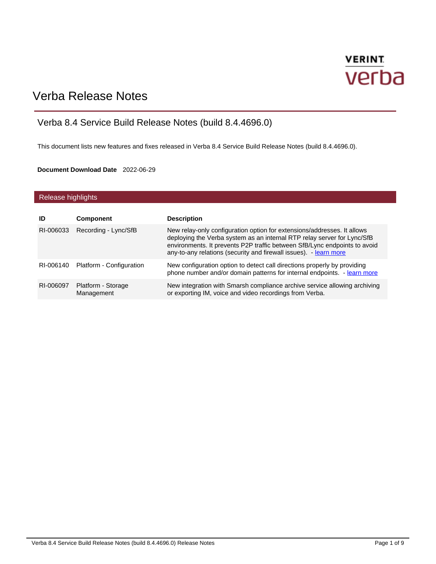# **VERINT** verba

## Verba Release Notes

### Verba 8.4 Service Build Release Notes (build 8.4.4696.0)

This document lists new features and fixes released in Verba 8.4 Service Build Release Notes (build 8.4.4696.0).

#### **Document Download Date** 2022-06-29

#### Release highlights

| ID        | <b>Component</b>                   | <b>Description</b>                                                                                                                                                                                                                                                                                   |
|-----------|------------------------------------|------------------------------------------------------------------------------------------------------------------------------------------------------------------------------------------------------------------------------------------------------------------------------------------------------|
| RI-006033 | Recording - Lync/SfB               | New relay-only configuration option for extensions/addresses. It allows<br>deploying the Verba system as an internal RTP relay server for Lync/SfB<br>environments. It prevents P2P traffic between SfB/Lync endpoints to avoid<br>any-to-any relations (security and firewall issues). - learn more |
|           | RI-006140 Platform - Configuration | New configuration option to detect call directions properly by providing<br>phone number and/or domain patterns for internal endpoints. - learn more                                                                                                                                                 |
| RI-006097 | Platform - Storage<br>Management   | New integration with Smarsh compliance archive service allowing archiving<br>or exporting IM, voice and video recordings from Verba.                                                                                                                                                                 |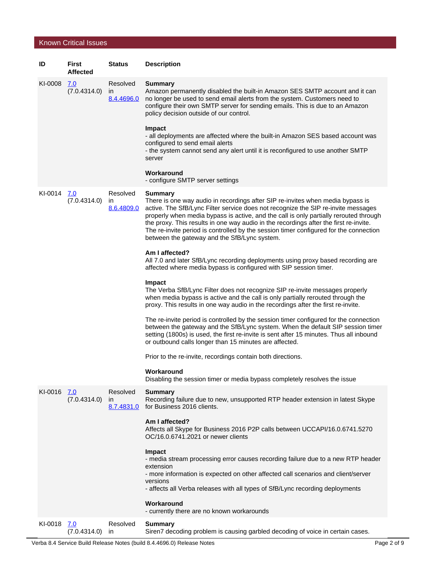#### Known Critical Issues

| ID          | First<br>Affected          | <b>Status</b>                          | <b>Description</b>                                                                                                                                                                                                                                                                                                                                                                                                                                                                                               |
|-------------|----------------------------|----------------------------------------|------------------------------------------------------------------------------------------------------------------------------------------------------------------------------------------------------------------------------------------------------------------------------------------------------------------------------------------------------------------------------------------------------------------------------------------------------------------------------------------------------------------|
| KI-0008     | <u>7.0</u><br>(7.0.4314.0) | Resolved<br>$\mathsf{I}$<br>8.4.4696.0 | <b>Summary</b><br>Amazon permanently disabled the built-in Amazon SES SMTP account and it can<br>no longer be used to send email alerts from the system. Customers need to<br>configure their own SMTP server for sending emails. This is due to an Amazon<br>policy decision outside of our control.                                                                                                                                                                                                            |
|             |                            |                                        | Impact<br>- all deployments are affected where the built-in Amazon SES based account was<br>configured to send email alerts<br>- the system cannot send any alert until it is reconfigured to use another SMTP<br>server                                                                                                                                                                                                                                                                                         |
|             |                            |                                        | Workaround<br>- configure SMTP server settings                                                                                                                                                                                                                                                                                                                                                                                                                                                                   |
| KI-0014 Z.O | (7.0.4314.0)               | Resolved<br>ın<br>8.6.4809.0           | <b>Summary</b><br>There is one way audio in recordings after SIP re-invites when media bypass is<br>active. The SfB/Lync Filter service does not recognize the SIP re-invite messages<br>properly when media bypass is active, and the call is only partially rerouted through<br>the proxy. This results in one way audio in the recordings after the first re-invite.<br>The re-invite period is controlled by the session timer configured for the connection<br>between the gateway and the SfB/Lync system. |
|             |                            |                                        | Am I affected?<br>All 7.0 and later SfB/Lync recording deployments using proxy based recording are<br>affected where media bypass is configured with SIP session timer.                                                                                                                                                                                                                                                                                                                                          |
|             |                            |                                        | Impact<br>The Verba SfB/Lync Filter does not recognize SIP re-invite messages properly<br>when media bypass is active and the call is only partially rerouted through the<br>proxy. This results in one way audio in the recordings after the first re-invite.                                                                                                                                                                                                                                                   |
|             |                            |                                        | The re-invite period is controlled by the session timer configured for the connection<br>between the gateway and the SfB/Lync system. When the default SIP session timer<br>setting (1800s) is used, the first re-invite is sent after 15 minutes. Thus all inbound<br>or outbound calls longer than 15 minutes are affected.                                                                                                                                                                                    |
|             |                            |                                        | Prior to the re-invite, recordings contain both directions.                                                                                                                                                                                                                                                                                                                                                                                                                                                      |
|             |                            |                                        | Workaround<br>Disabling the session timer or media bypass completely resolves the issue                                                                                                                                                                                                                                                                                                                                                                                                                          |
| KI-0016 7.0 | (7.0.4314.0)               | Resolved<br><i>in</i><br>8.7.4831.0    | <b>Summary</b><br>Recording failure due to new, unsupported RTP header extension in latest Skype<br>for Business 2016 clients.                                                                                                                                                                                                                                                                                                                                                                                   |
|             |                            |                                        | Am I affected?<br>Affects all Skype for Business 2016 P2P calls between UCCAPI/16.0.6741.5270<br>OC/16.0.6741.2021 or newer clients                                                                                                                                                                                                                                                                                                                                                                              |
|             |                            |                                        | Impact<br>- media stream processing error causes recording failure due to a new RTP header<br>extension<br>- more information is expected on other affected call scenarios and client/server                                                                                                                                                                                                                                                                                                                     |
|             |                            |                                        | versions<br>- affects all Verba releases with all types of SfB/Lync recording deployments                                                                                                                                                                                                                                                                                                                                                                                                                        |
|             |                            |                                        | Workaround<br>- currently there are no known workarounds                                                                                                                                                                                                                                                                                                                                                                                                                                                         |
| KI-0018 7.0 | (7.0.4314.0)               | Resolved<br><i>in</i>                  | <b>Summary</b><br>Siren7 decoding problem is causing garbled decoding of voice in certain cases.                                                                                                                                                                                                                                                                                                                                                                                                                 |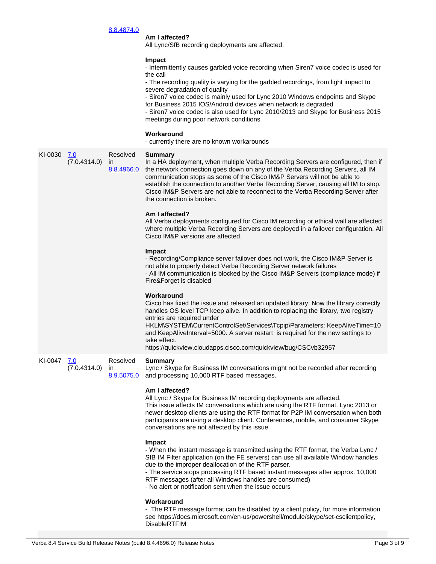#### 8.8.4874.0

#### **Am I affected?**

All Lync/SfB recording deployments are affected.

#### **Impact**

- Intermittently causes garbled voice recording when Siren7 voice codec is used for the call

- The recording quality is varying for the garbled recordings, from light impact to severe degradation of quality

- Siren7 voice codec is mainly used for Lync 2010 Windows endpoints and Skype for Business 2015 IOS/Android devices when network is degraded

- Siren7 voice codec is also used for Lync 2010/2013 and Skype for Business 2015 meetings during poor network conditions

#### **Workaround**

|         |                            |                                        | - currently there are no known workarounds                                                                                                                                                                                                                                                                                                                                                                                                                                 |
|---------|----------------------------|----------------------------------------|----------------------------------------------------------------------------------------------------------------------------------------------------------------------------------------------------------------------------------------------------------------------------------------------------------------------------------------------------------------------------------------------------------------------------------------------------------------------------|
| KI-0030 | 7.0<br>(7.0.4314.0)        | Resolved<br>$\mathsf{I}$<br>8.8.4966.0 | <b>Summary</b><br>In a HA deployment, when multiple Verba Recording Servers are configured, then if<br>the network connection goes down on any of the Verba Recording Servers, all IM<br>communication stops as some of the Cisco IM&P Servers will not be able to<br>establish the connection to another Verba Recording Server, causing all IM to stop.<br>Cisco IM&P Servers are not able to reconnect to the Verba Recording Server after<br>the connection is broken. |
|         |                            |                                        | Am I affected?<br>All Verba deployments configured for Cisco IM recording or ethical wall are affected<br>where multiple Verba Recording Servers are deployed in a failover configuration. All<br>Cisco IM&P versions are affected.                                                                                                                                                                                                                                        |
|         |                            |                                        | Impact<br>- Recording/Compliance server failover does not work, the Cisco IM&P Server is<br>not able to properly detect Verba Recording Server network failures<br>- All IM communication is blocked by the Cisco IM&P Servers (compliance mode) if<br>Fire&Forget is disabled                                                                                                                                                                                             |
|         |                            |                                        | Workaround<br>Cisco has fixed the issue and released an updated library. Now the library correctly<br>handles OS level TCP keep alive. In addition to replacing the library, two registry<br>entries are required under<br>HKLM\SYSTEM\CurrentControlSet\Services\Tcpip\Parameters: KeepAliveTime=10<br>and KeepAliveInterval=5000. A server restart is required for the new settings to<br>take effect.<br>https://quickview.cloudapps.cisco.com/quickview/bug/CSCvb32957 |
| KI-0047 | <u>7.0</u><br>(7.0.4314.0) | Resolved<br>ın<br>8.9.5075.0           | <b>Summary</b><br>Lync / Skype for Business IM conversations might not be recorded after recording<br>and processing 10,000 RTF based messages.                                                                                                                                                                                                                                                                                                                            |
|         |                            |                                        | Am I affected?<br>All Lync / Skype for Business IM recording deployments are affected.<br>This issue affects IM conversations which are using the RTF format. Lync 2013 or<br>newer desktop clients are using the RTF format for P2P IM conversation when both<br>participants are using a desktop client. Conferences, mobile, and consumer Skype<br>conversations are not affected by this issue.                                                                        |
|         |                            |                                        | Impact<br>- When the instant message is transmitted using the RTF format, the Verba Lync /<br>SfB IM Filter application (on the FE servers) can use all available Window handles<br>due to the improper deallocation of the RTF parser.<br>- The service stops processing RTF based instant messages after approx. 10,000<br>RTF messages (after all Windows handles are consumed)<br>- No alert or notification sent when the issue occurs                                |
|         |                            |                                        | Workaround<br>- The RTF message format can be disabled by a client policy, for more information<br>see https://docs.microsoft.com/en-us/powershell/module/skype/set-csclientpolicy,<br><b>DisableRTFIM</b>                                                                                                                                                                                                                                                                 |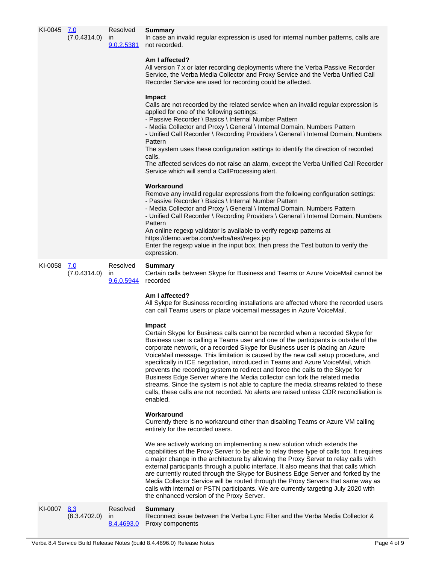| KI-0045 7.0 | (7.0.4314.0)        | Resolved<br>$\mathsf{I}$               | <b>Summary</b><br>In case an invalid regular expression is used for internal number patterns, calls are<br>9.0.2.5381 not recorded.<br>Am I affected?<br>All version 7.x or later recording deployments where the Verba Passive Recorder<br>Service, the Verba Media Collector and Proxy Service and the Verba Unified Call<br>Recorder Service are used for recording could be affected.<br>Impact<br>Calls are not recorded by the related service when an invalid regular expression is<br>applied for one of the following settings:<br>- Passive Recorder \ Basics \ Internal Number Pattern<br>- Media Collector and Proxy \ General \ Internal Domain, Numbers Pattern<br>- Unified Call Recorder \ Recording Providers \ General \ Internal Domain, Numbers<br>Pattern<br>The system uses these configuration settings to identify the direction of recorded<br>calls.<br>The affected services do not raise an alarm, except the Verba Unified Call Recorder<br>Service which will send a CallProcessing alert.<br>Workaround<br>Remove any invalid regular expressions from the following configuration settings:<br>- Passive Recorder \ Basics \ Internal Number Pattern<br>- Media Collector and Proxy \ General \ Internal Domain, Numbers Pattern<br>- Unified Call Recorder \ Recording Providers \ General \ Internal Domain, Numbers<br>Pattern |
|-------------|---------------------|----------------------------------------|-------------------------------------------------------------------------------------------------------------------------------------------------------------------------------------------------------------------------------------------------------------------------------------------------------------------------------------------------------------------------------------------------------------------------------------------------------------------------------------------------------------------------------------------------------------------------------------------------------------------------------------------------------------------------------------------------------------------------------------------------------------------------------------------------------------------------------------------------------------------------------------------------------------------------------------------------------------------------------------------------------------------------------------------------------------------------------------------------------------------------------------------------------------------------------------------------------------------------------------------------------------------------------------------------------------------------------------------------------------------|
|             |                     |                                        | An online regexp validator is available to verify regexp patterns at<br>https://demo.verba.com/verba/test/regex.jsp<br>Enter the regexp value in the input box, then press the Test button to verify the<br>expression.                                                                                                                                                                                                                                                                                                                                                                                                                                                                                                                                                                                                                                                                                                                                                                                                                                                                                                                                                                                                                                                                                                                                           |
| KI-0058     | 7.0<br>(7.0.4314.0) | Resolved<br>ın<br>9.6.0.5944           | <b>Summary</b><br>Certain calls between Skype for Business and Teams or Azure VoiceMail cannot be<br>recorded<br>Am I affected?<br>All Sykpe for Business recording installations are affected where the recorded users                                                                                                                                                                                                                                                                                                                                                                                                                                                                                                                                                                                                                                                                                                                                                                                                                                                                                                                                                                                                                                                                                                                                           |
|             |                     |                                        | can call Teams users or place voicemail messages in Azure VoiceMail.                                                                                                                                                                                                                                                                                                                                                                                                                                                                                                                                                                                                                                                                                                                                                                                                                                                                                                                                                                                                                                                                                                                                                                                                                                                                                              |
|             |                     |                                        | Impact<br>Certain Skype for Business calls cannot be recorded when a recorded Skype for<br>Business user is calling a Teams user and one of the participants is outside of the<br>corporate network, or a recorded Skype for Business user is placing an Azure<br>VoiceMail message. This limitation is caused by the new call setup procedure, and<br>specifically in ICE negotiation, introduced in Teams and Azure VoiceMail, which<br>prevents the recording system to redirect and force the calls to the Skype for<br>Business Edge Server where the Media collector can fork the related media<br>streams. Since the system is not able to capture the media streams related to these<br>calls, these calls are not recorded. No alerts are raised unless CDR reconciliation is<br>enabled.                                                                                                                                                                                                                                                                                                                                                                                                                                                                                                                                                                |
|             |                     |                                        | Workaround<br>Currently there is no workaround other than disabling Teams or Azure VM calling<br>entirely for the recorded users.                                                                                                                                                                                                                                                                                                                                                                                                                                                                                                                                                                                                                                                                                                                                                                                                                                                                                                                                                                                                                                                                                                                                                                                                                                 |
|             |                     |                                        | We are actively working on implementing a new solution which extends the<br>capabilities of the Proxy Server to be able to relay these type of calls too. It requires<br>a major change in the architecture by allowing the Proxy Server to relay calls with<br>external participants through a public interface. It also means that that calls which<br>are currently routed through the Skype for Business Edge Server and forked by the<br>Media Collector Service will be routed through the Proxy Servers that same way as<br>calls with internal or PSTN participants. We are currently targeting July 2020 with<br>the enhanced version of the Proxy Server.                                                                                                                                                                                                                                                                                                                                                                                                                                                                                                                                                                                                                                                                                               |
| KI-0007     | 8.3<br>(8.3.4702.0) | Resolved<br>$\mathsf{I}$<br>8.4.4693.0 | <b>Summary</b><br>Reconnect issue between the Verba Lync Filter and the Verba Media Collector &<br>Proxy components                                                                                                                                                                                                                                                                                                                                                                                                                                                                                                                                                                                                                                                                                                                                                                                                                                                                                                                                                                                                                                                                                                                                                                                                                                               |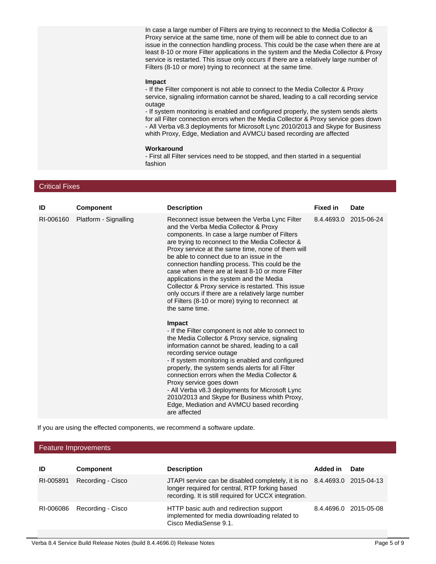In case a large number of Filters are trying to reconnect to the Media Collector & Proxy service at the same time, none of them will be able to connect due to an issue in the connection handling process. This could be the case when there are at least 8-10 or more Filter applications in the system and the Media Collector & Proxy service is restarted. This issue only occurs if there are a relatively large number of Filters (8-10 or more) trying to reconnect at the same time.

#### **Impact**

- If the Filter component is not able to connect to the Media Collector & Proxy service, signaling information cannot be shared, leading to a call recording service outage

- If system monitoring is enabled and configured properly, the system sends alerts for all Filter connection errors when the Media Collector & Proxy service goes down - All Verba v8.3 deployments for Microsoft Lync 2010/2013 and Skype for Business whith Proxy, Edge, Mediation and AVMCU based recording are affected

#### **Workaround**

- First all Filter services need to be stopped, and then started in a sequential fashion

#### Critical Fixes

| ID        | <b>Component</b>      | <b>Description</b>                                                                                                                                                                                                                                                                                                                                                                                                                                                                                                                                                                                                                                                                                                                                                                                                                                                                                                                                                                                                                                                                                                                                                                      | <b>Fixed in</b> | <b>Date</b>           |
|-----------|-----------------------|-----------------------------------------------------------------------------------------------------------------------------------------------------------------------------------------------------------------------------------------------------------------------------------------------------------------------------------------------------------------------------------------------------------------------------------------------------------------------------------------------------------------------------------------------------------------------------------------------------------------------------------------------------------------------------------------------------------------------------------------------------------------------------------------------------------------------------------------------------------------------------------------------------------------------------------------------------------------------------------------------------------------------------------------------------------------------------------------------------------------------------------------------------------------------------------------|-----------------|-----------------------|
| RI-006160 | Platform - Signalling | Reconnect issue between the Verba Lync Filter<br>and the Verba Media Collector & Proxy<br>components. In case a large number of Filters<br>are trying to reconnect to the Media Collector &<br>Proxy service at the same time, none of them will<br>be able to connect due to an issue in the<br>connection handling process. This could be the<br>case when there are at least 8-10 or more Filter<br>applications in the system and the Media<br>Collector & Proxy service is restarted. This issue<br>only occurs if there are a relatively large number<br>of Filters (8-10 or more) trying to reconnect at<br>the same time.<br>Impact<br>- If the Filter component is not able to connect to<br>the Media Collector & Proxy service, signaling<br>information cannot be shared, leading to a call<br>recording service outage<br>- If system monitoring is enabled and configured<br>properly, the system sends alerts for all Filter<br>connection errors when the Media Collector &<br>Proxy service goes down<br>- All Verba v8.3 deployments for Microsoft Lync<br>2010/2013 and Skype for Business whith Proxy,<br>Edge, Mediation and AVMCU based recording<br>are affected |                 | 8.4.4693.0 2015-06-24 |

If you are using the effected components, we recommend a software update.

#### Feature Improvements

| ID        | <b>Component</b>            | <b>Description</b>                                                                                                                                                                  | Added in | Date                  |
|-----------|-----------------------------|-------------------------------------------------------------------------------------------------------------------------------------------------------------------------------------|----------|-----------------------|
| RI-005891 | Recording - Cisco           | JTAPI service can be disabled completely, it is no 8.4.4693.0 2015-04-13<br>longer required for central, RTP forking based<br>recording. It is still required for UCCX integration. |          |                       |
|           | RI-006086 Recording - Cisco | HTTP basic auth and redirection support<br>implemented for media downloading related to<br>Cisco MediaSense 9.1.                                                                    |          | 8.4.4696.0 2015-05-08 |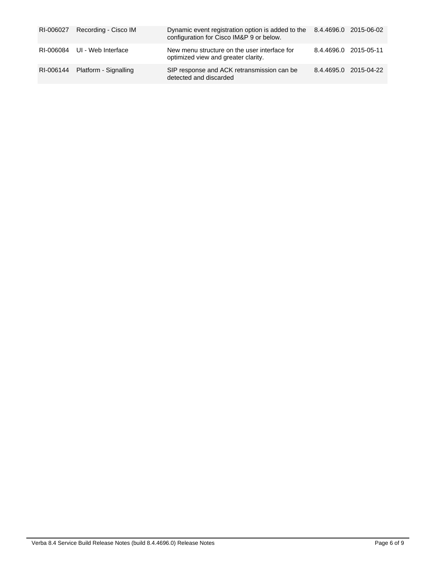| RI-006027 Recording - Cisco IM  | Dynamic event registration option is added to the 8.4.4696.0 2015-06-02<br>configuration for Cisco IM&P 9 or below. |                       |                       |
|---------------------------------|---------------------------------------------------------------------------------------------------------------------|-----------------------|-----------------------|
| RI-006084 UI - Web Interface    | New menu structure on the user interface for<br>optimized view and greater clarity.                                 | 8.4.4696.0 2015-05-11 |                       |
| RI-006144 Platform - Signalling | SIP response and ACK retransmission can be<br>detected and discarded                                                |                       | 8.4.4695.0 2015-04-22 |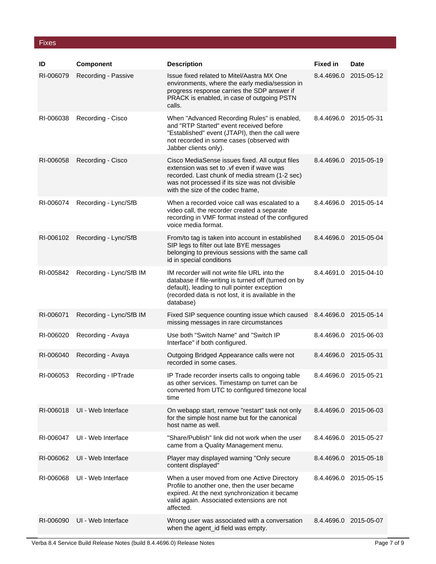#### Fixes

| ID        | Component               | <b>Description</b>                                                                                                                                                                                                                     | <b>Fixed in</b> | <b>Date</b>           |
|-----------|-------------------------|----------------------------------------------------------------------------------------------------------------------------------------------------------------------------------------------------------------------------------------|-----------------|-----------------------|
| RI-006079 | Recording - Passive     | Issue fixed related to Mitel/Aastra MX One<br>environments, where the early media/session in<br>progress response carries the SDP answer if<br>PRACK is enabled, in case of outgoing PSTN<br>calls.                                    | 8.4.4696.0      | 2015-05-12            |
| RI-006038 | Recording - Cisco       | When "Advanced Recording Rules" is enabled,<br>and "RTP Started" event received before<br>"Established" event (JTAPI), then the call were<br>not recorded in some cases (observed with<br>Jabber clients only).                        |                 | 8.4.4696.0 2015-05-31 |
| RI-006058 | Recording - Cisco       | Cisco MediaSense issues fixed. All output files<br>extension was set to .yf even if wave was<br>recorded. Last chunk of media stream (1-2 sec)<br>was not processed if its size was not divisible<br>with the size of the codec frame, |                 | 8.4.4696.0 2015-05-19 |
| RI-006074 | Recording - Lync/SfB    | When a recorded voice call was escalated to a<br>video call, the recorder created a separate<br>recording in VMF format instead of the configured<br>voice media format.                                                               |                 | 8.4.4696.0 2015-05-14 |
| RI-006102 | Recording - Lync/SfB    | From/to tag is taken into account in established<br>SIP legs to filter out late BYE messages<br>belonging to previous sessions with the same call<br>id in special conditions                                                          |                 | 8.4.4696.0 2015-05-04 |
| RI-005842 | Recording - Lync/SfB IM | IM recorder will not write file URL into the<br>database if file-writing is turned off (turned on by<br>default), leading to null pointer exception<br>(recorded data is not lost, it is available in the<br>database)                 |                 | 8.4.4691.0 2015-04-10 |
| RI-006071 | Recording - Lync/SfB IM | Fixed SIP sequence counting issue which caused 8.4.4696.0<br>missing messages in rare circumstances                                                                                                                                    |                 | 2015-05-14            |
| RI-006020 | Recording - Avaya       | Use both "Switch Name" and "Switch IP<br>Interface" if both configured.                                                                                                                                                                |                 | 8.4.4696.0 2015-06-03 |
| RI-006040 | Recording - Avaya       | Outgoing Bridged Appearance calls were not<br>recorded in some cases.                                                                                                                                                                  |                 | 8.4.4696.0 2015-05-31 |
| RI-006053 | Recording - IPTrade     | IP Trade recorder inserts calls to ongoing table<br>as other services. Timestamp on turret can be<br>converted from UTC to configured timezone local<br>time                                                                           |                 | 8.4.4696.0 2015-05-21 |
| RI-006018 | UI - Web Interface      | On webapp start, remove "restart" task not only<br>for the simple host name but for the canonical<br>host name as well.                                                                                                                |                 | 8.4.4696.0 2015-06-03 |
| RI-006047 | UI - Web Interface      | "Share/Publish" link did not work when the user<br>came from a Quality Management menu.                                                                                                                                                |                 | 8.4.4696.0 2015-05-27 |
| RI-006062 | UI - Web Interface      | Player may displayed warning "Only secure<br>content displayed"                                                                                                                                                                        | 8.4.4696.0      | 2015-05-18            |
| RI-006068 | UI - Web Interface      | When a user moved from one Active Directory<br>Profile to another one, then the user became<br>expired. At the next synchronization it became<br>valid again. Associated extensions are not<br>affected.                               |                 | 8.4.4696.0 2015-05-15 |
| RI-006090 | UI - Web Interface      | Wrong user was associated with a conversation<br>when the agent_id field was empty.                                                                                                                                                    |                 | 8.4.4696.0 2015-05-07 |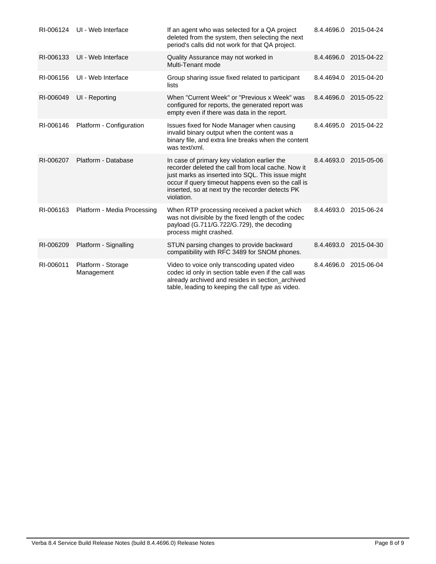| RI-006124 | UI - Web Interface               | If an agent who was selected for a QA project<br>deleted from the system, then selecting the next<br>period's calls did not work for that QA project.                                                                                                                           |            | 8.4.4696.0 2015-04-24 |
|-----------|----------------------------------|---------------------------------------------------------------------------------------------------------------------------------------------------------------------------------------------------------------------------------------------------------------------------------|------------|-----------------------|
| RI-006133 | UI - Web Interface               | Quality Assurance may not worked in<br>Multi-Tenant mode                                                                                                                                                                                                                        | 8.4.4696.0 | 2015-04-22            |
| RI-006156 | UI - Web Interface               | Group sharing issue fixed related to participant<br>lists                                                                                                                                                                                                                       | 8.4.4694.0 | 2015-04-20            |
| RI-006049 | UI - Reporting                   | When "Current Week" or "Previous x Week" was<br>configured for reports, the generated report was<br>empty even if there was data in the report.                                                                                                                                 | 8.4.4696.0 | 2015-05-22            |
| RI-006146 | Platform - Configuration         | Issues fixed for Node Manager when causing<br>invalid binary output when the content was a<br>binary file, and extra line breaks when the content<br>was text/xml.                                                                                                              | 8.4.4695.0 | 2015-04-22            |
| RI-006207 | Platform - Database              | In case of primary key violation earlier the<br>recorder deleted the call from local cache. Now it<br>just marks as inserted into SQL. This issue might<br>occur if query timeout happens even so the call is<br>inserted, so at next try the recorder detects PK<br>violation. | 8.4.4693.0 | 2015-05-06            |
| RI-006163 | Platform - Media Processing      | When RTP processing received a packet which<br>was not divisible by the fixed length of the codec<br>payload (G.711/G.722/G.729), the decoding<br>process might crashed.                                                                                                        | 8.4.4693.0 | 2015-06-24            |
| RI-006209 | Platform - Signalling            | STUN parsing changes to provide backward<br>compatibility with RFC 3489 for SNOM phones.                                                                                                                                                                                        | 8.4.4693.0 | 2015-04-30            |
| RI-006011 | Platform - Storage<br>Management | Video to voice only transcoding upated video<br>codec id only in section table even if the call was<br>already archived and resides in section_archived<br>table, leading to keeping the call type as video.                                                                    | 8.4.4696.0 | 2015-06-04            |